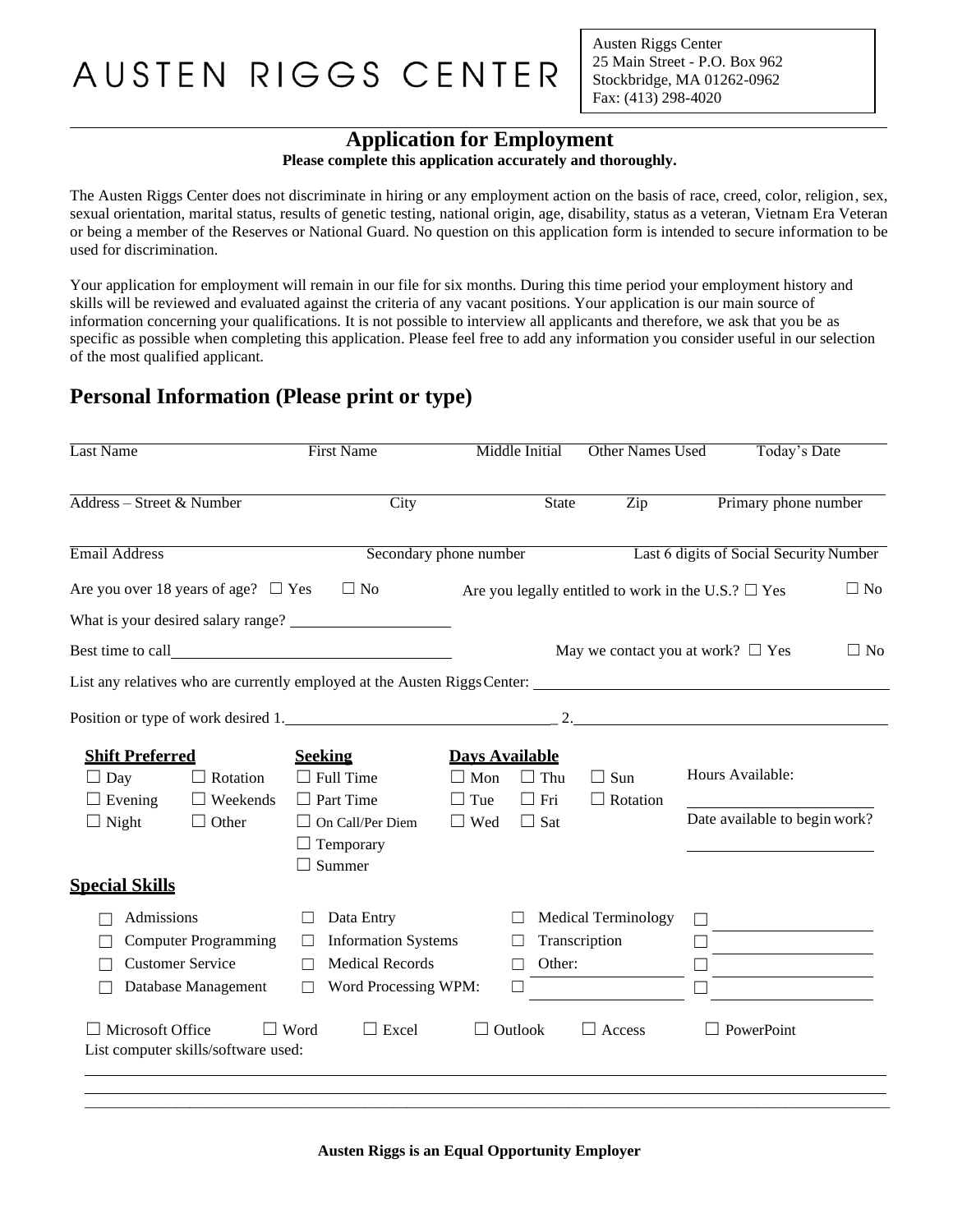Austen Riggs Center 25 Main Street - P.O. Box 962 Stockbridge, MA 01262-0962 Fax: (413) 298-4020

#### **Application for Employment**

**Please complete this application accurately and thoroughly.**

The Austen Riggs Center does not discriminate in hiring or any employment action on the basis of race, creed, color, religion, sex, sexual orientation, marital status, results of genetic testing, national origin, age, disability, status as a veteran, Vietnam Era Veteran or being a member of the Reserves or National Guard. No question on this application form is intended to secure information to be used for discrimination.

Your application for employment will remain in our file for six months. During this time period your employment history and skills will be reviewed and evaluated against the criteria of any vacant positions. Your application is our main source of information concerning your qualifications. It is not possible to interview all applicants and therefore, we ask that you be as specific as possible when completing this application. Please feel free to add any information you consider useful in our selection of the most qualified applicant.

#### **Personal Information (Please print or type)**

| Last Name                                                                                                                    | <b>First Name</b>                                                                                                                                  |                                                                 | Middle Initial                                    | <b>Other Names Used</b>                                      |                                                          | Today's Date                                                                                                         |
|------------------------------------------------------------------------------------------------------------------------------|----------------------------------------------------------------------------------------------------------------------------------------------------|-----------------------------------------------------------------|---------------------------------------------------|--------------------------------------------------------------|----------------------------------------------------------|----------------------------------------------------------------------------------------------------------------------|
| Address - Street & Number                                                                                                    | $\overline{City}$                                                                                                                                  |                                                                 | <b>State</b>                                      | $\overline{Zip}$                                             |                                                          | Primary phone number                                                                                                 |
| Email Address                                                                                                                | Secondary phone number                                                                                                                             |                                                                 |                                                   |                                                              | Last 6 digits of Social Security Number                  |                                                                                                                      |
| Are you over 18 years of age? $\Box$ Yes                                                                                     | $\square$ No                                                                                                                                       |                                                                 |                                                   |                                                              | Are you legally entitled to work in the U.S.? $\Box$ Yes | $\Box$ No                                                                                                            |
| What is your desired salary range?                                                                                           |                                                                                                                                                    |                                                                 |                                                   |                                                              |                                                          |                                                                                                                      |
|                                                                                                                              |                                                                                                                                                    |                                                                 |                                                   |                                                              | May we contact you at work? $\Box$ Yes                   | $\Box$ No                                                                                                            |
|                                                                                                                              |                                                                                                                                                    |                                                                 |                                                   |                                                              |                                                          |                                                                                                                      |
| Position or type of work desired 1.                                                                                          |                                                                                                                                                    |                                                                 |                                                   |                                                              |                                                          |                                                                                                                      |
| <b>Shift Preferred</b><br>$\Box$ Day<br>$\Box$ Rotation<br>$\Box$ Evening<br>$\Box$ Weekends<br>$\Box$ Night<br>$\Box$ Other | <b>Seeking</b><br>$\Box$ Full Time<br>$\Box$ Part Time<br>$\Box$ On Call/Per Diem<br>$\Box$ Temporary<br>Summer<br>٦                               | <b>Days Available</b><br>$\Box$ Mon<br>$\Box$ Tue<br>$\Box$ Wed | $\Box$ Thu<br>$\Box$ Fri<br>$\Box$ Sat            | $\Box$ Sun<br>$\Box$ Rotation                                | Hours Available:<br>Date available to begin work?        |                                                                                                                      |
| <b>Special Skills</b>                                                                                                        |                                                                                                                                                    |                                                                 |                                                   |                                                              |                                                          |                                                                                                                      |
| Admissions<br><b>Computer Programming</b><br><b>Customer Service</b><br>Database Management<br>Microsoft Office              | Data Entry<br>П<br><b>Information Systems</b><br>$\Box$<br><b>Medical Records</b><br>П<br>Word Processing WPM:<br>П<br>$\Box$ Word<br>$\Box$ Excel | $\Box$                                                          | $\perp$<br>$\perp$<br>Other:<br>$\Box$<br>Outlook | <b>Medical Terminology</b><br>Transcription<br>$\Box$ Access | $\Box$ PowerPoint                                        | <u> 1989 - Jan Stein Stein Stein Stein Stein Stein Stein Stein Stein Stein Stein Stein Stein Stein Stein Stein S</u> |
| List computer skills/software used:                                                                                          |                                                                                                                                                    |                                                                 |                                                   |                                                              |                                                          |                                                                                                                      |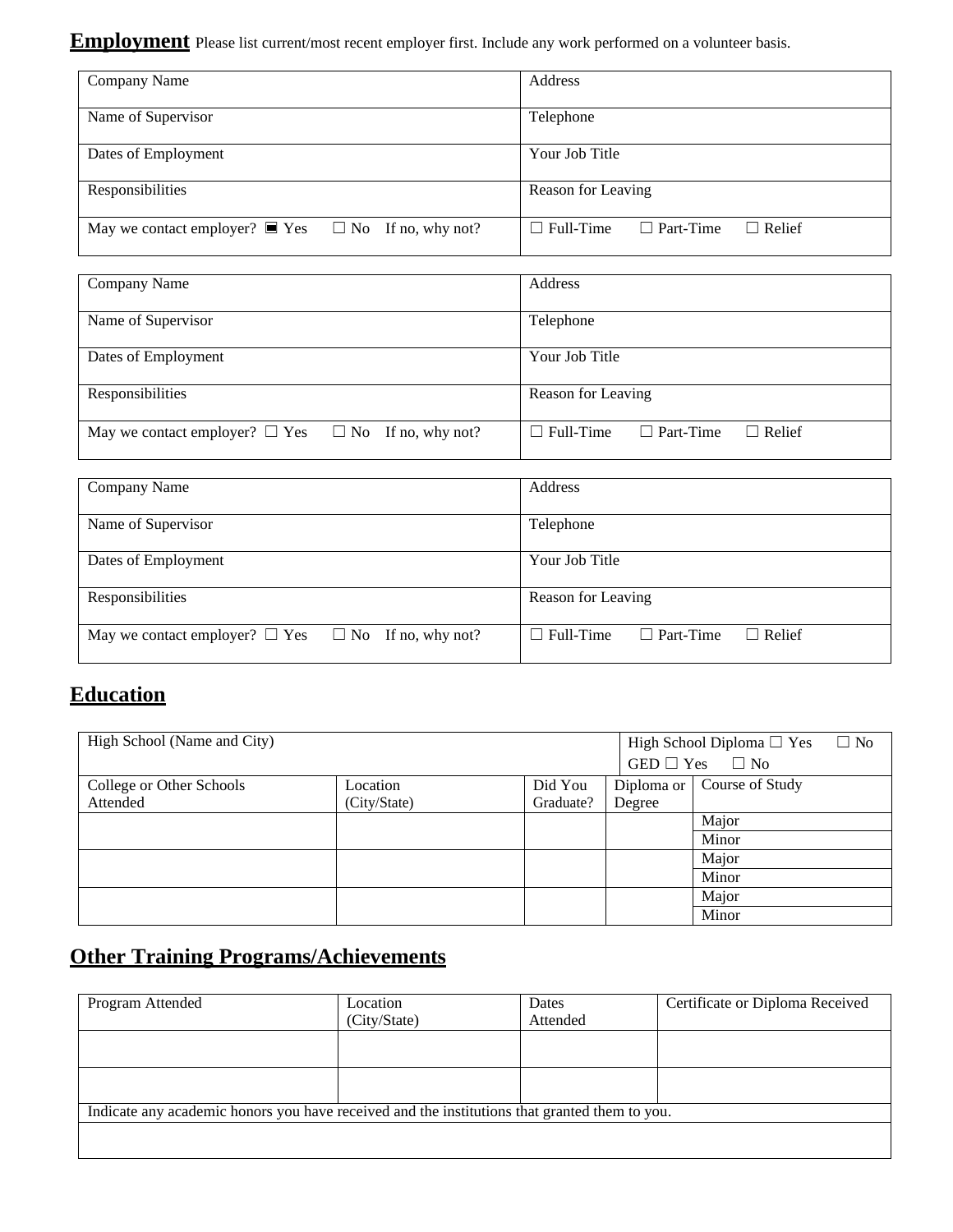**Employment** Please list current/most recent employer first. Include any work performed on a volunteer basis.

| Company Name                                                          | Address                                               |
|-----------------------------------------------------------------------|-------------------------------------------------------|
| Name of Supervisor                                                    | Telephone                                             |
| Dates of Employment                                                   | Your Job Title                                        |
| Responsibilities                                                      | Reason for Leaving                                    |
| May we contact employer? $\blacksquare$ Yes $\Box$ No If no, why not? | $\Box$ Full-Time<br>$\Box$ Part-Time<br>$\Box$ Relief |

| Company Name                                                  | Address                                               |
|---------------------------------------------------------------|-------------------------------------------------------|
| Name of Supervisor                                            | Telephone                                             |
| Dates of Employment                                           | Your Job Title                                        |
| Responsibilities                                              | Reason for Leaving                                    |
| May we contact employer? $\Box$ Yes $\Box$ No If no, why not? | $\Box$ Full-Time<br>$\Box$ Part-Time<br>$\Box$ Relief |

| Company Name                                                  | Address                                               |
|---------------------------------------------------------------|-------------------------------------------------------|
|                                                               |                                                       |
|                                                               |                                                       |
| Name of Supervisor                                            | Telephone                                             |
|                                                               |                                                       |
|                                                               |                                                       |
| Dates of Employment                                           | Your Job Title                                        |
|                                                               |                                                       |
|                                                               |                                                       |
| Responsibilities                                              | Reason for Leaving                                    |
|                                                               |                                                       |
|                                                               |                                                       |
| May we contact employer? $\Box$ Yes $\Box$ No If no, why not? | $\Box$ Full-Time<br>$\Box$ Relief<br>$\Box$ Part-Time |
|                                                               |                                                       |
|                                                               |                                                       |
|                                                               |                                                       |

#### **Education**

| High School (Name and City) |              |           |        | $\Box$ No<br>High School Diploma $\square$ Yes |
|-----------------------------|--------------|-----------|--------|------------------------------------------------|
|                             |              |           |        | GED $\Box$ Yes $\Box$ No                       |
| College or Other Schools    | Location     | Did You   |        | Diploma or   Course of Study                   |
| Attended                    | (City/State) | Graduate? | Degree |                                                |
|                             |              |           |        | Major                                          |
|                             |              |           |        | Minor                                          |
|                             |              |           |        | Major                                          |
|                             |              |           |        | Minor                                          |
|                             |              |           |        | Major                                          |
|                             |              |           |        | Minor                                          |

## **Other Training Programs/Achievements**

| Program Attended                                                                              | Location     | Dates    | Certificate or Diploma Received |
|-----------------------------------------------------------------------------------------------|--------------|----------|---------------------------------|
|                                                                                               | (City/State) | Attended |                                 |
|                                                                                               |              |          |                                 |
|                                                                                               |              |          |                                 |
|                                                                                               |              |          |                                 |
|                                                                                               |              |          |                                 |
| Indicate any academic honors you have received and the institutions that granted them to you. |              |          |                                 |
|                                                                                               |              |          |                                 |
|                                                                                               |              |          |                                 |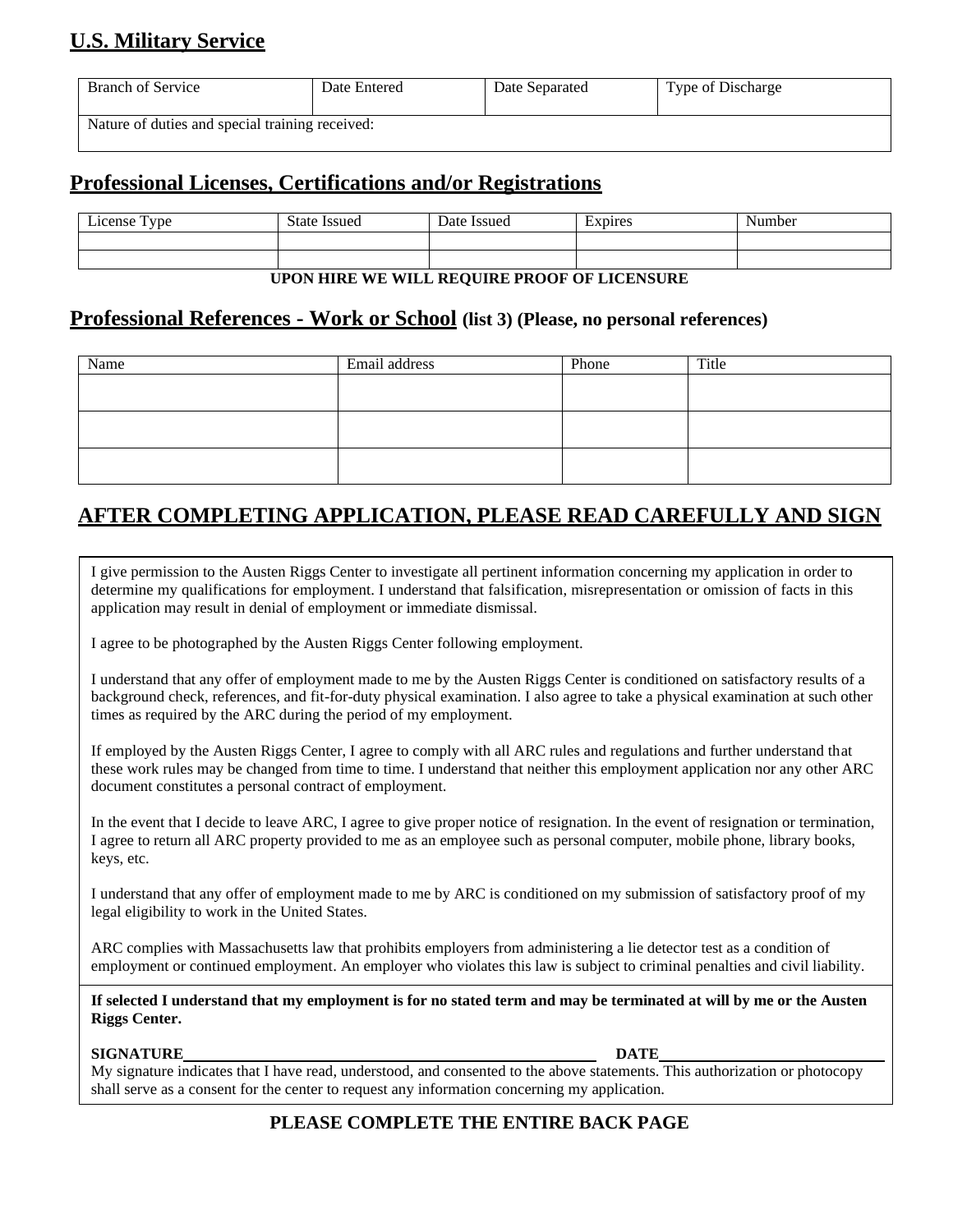### **U.S. Military Service**

| <b>Branch of Service</b>                        | Date Entered | Date Separated | Type of Discharge |
|-------------------------------------------------|--------------|----------------|-------------------|
| Nature of duties and special training received: |              |                |                   |

#### **Professional Licenses, Certifications and/or Registrations**

| License Type                                 | <b>State Issued</b> | Date Issued | Expires | Number |
|----------------------------------------------|---------------------|-------------|---------|--------|
|                                              |                     |             |         |        |
|                                              |                     |             |         |        |
| UPON HIRE WE WILL REQUIRE PROOF OF LICENSURE |                     |             |         |        |

# **Professional References - Work or School (list 3) (Please, no personal references)**

| Name | Email address | Phone | Title |
|------|---------------|-------|-------|
|      |               |       |       |
|      |               |       |       |
|      |               |       |       |
|      |               |       |       |
|      |               |       |       |
|      |               |       |       |

#### **AFTER COMPLETING APPLICATION, PLEASE READ CAREFULLY AND SIGN**

I give permission to the Austen Riggs Center to investigate all pertinent information concerning my application in order to determine my qualifications for employment. I understand that falsification, misrepresentation or omission of facts in this application may result in denial of employment or immediate dismissal.

I agree to be photographed by the Austen Riggs Center following employment.

I understand that any offer of employment made to me by the Austen Riggs Center is conditioned on satisfactory results of a background check, references, and fit-for-duty physical examination. I also agree to take a physical examination at such other times as required by the ARC during the period of my employment.

If employed by the Austen Riggs Center, I agree to comply with all ARC rules and regulations and further understand that these work rules may be changed from time to time. I understand that neither this employment application nor any other ARC document constitutes a personal contract of employment.

In the event that I decide to leave ARC, I agree to give proper notice of resignation. In the event of resignation or termination, I agree to return all ARC property provided to me as an employee such as personal computer, mobile phone, library books, keys, etc.

I understand that any offer of employment made to me by ARC is conditioned on my submission of satisfactory proof of my legal eligibility to work in the United States.

ARC complies with Massachusetts law that prohibits employers from administering a lie detector test as a condition of employment or continued employment. An employer who violates this law is subject to criminal penalties and civil liability.

**If selected I understand that my employment is for no stated term and may be terminated at will by me or the Austen Riggs Center.**

#### **SIGNATURE DATE**

My signature indicates that I have read, understood, and consented to the above statements. This authorization or photocopy shall serve as a consent for the center to request any information concerning my application.

#### **PLEASE COMPLETE THE ENTIRE BACK PAGE**